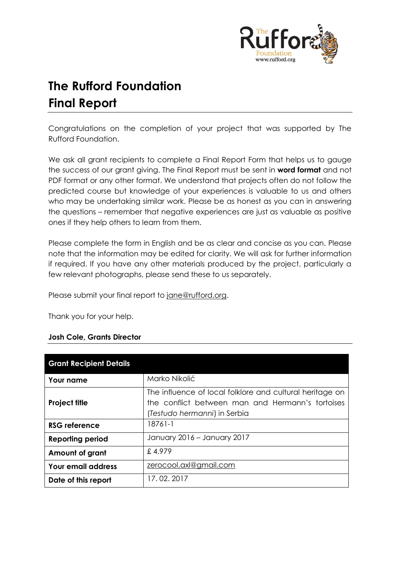

# **The Rufford Foundation Final Report**

Congratulations on the completion of your project that was supported by The Rufford Foundation.

We ask all grant recipients to complete a Final Report Form that helps us to gauge the success of our grant giving. The Final Report must be sent in **word format** and not PDF format or any other format. We understand that projects often do not follow the predicted course but knowledge of your experiences is valuable to us and others who may be undertaking similar work. Please be as honest as you can in answering the questions – remember that negative experiences are just as valuable as positive ones if they help others to learn from them.

Please complete the form in English and be as clear and concise as you can. Please note that the information may be edited for clarity. We will ask for further information if required. If you have any other materials produced by the project, particularly a few relevant photographs, please send these to us separately.

Please submit your final report to [jane@rufford.org.](mailto:jane@rufford.org)

Thank you for your help.

#### **Josh Cole, Grants Director**

| <b>Grant Recipient Details</b> |                                                                                                                                              |
|--------------------------------|----------------------------------------------------------------------------------------------------------------------------------------------|
| Your name                      | Marko Nikolić                                                                                                                                |
| <b>Project title</b>           | The influence of local folklore and cultural heritage on<br>the conflict between man and Hermann's tortoises<br>(Testudo hermanni) in Serbia |
| RSG reference                  | 18761-1                                                                                                                                      |
| <b>Reporting period</b>        | January 2016 - January 2017                                                                                                                  |
| <b>Amount of grant</b>         | £4.979                                                                                                                                       |
| <b>Your email address</b>      | zerocool.axl@gmail.com                                                                                                                       |
| Date of this report            | 17.02.2017                                                                                                                                   |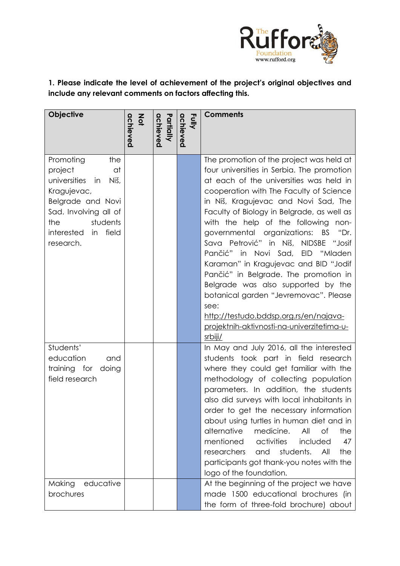

**1. Please indicate the level of achievement of the project's original objectives and include any relevant comments on factors affecting this.** 

| <b>Objective</b>                                                                                                                                                                    | achieved<br>$rac{2}{9}$ | Partially<br>achieved | Fully<br>achieved | <b>Comments</b>                                                                                                                                                                                                                                                                                                                                                                                                                                                                                                                                                                                                                                                                                     |
|-------------------------------------------------------------------------------------------------------------------------------------------------------------------------------------|-------------------------|-----------------------|-------------------|-----------------------------------------------------------------------------------------------------------------------------------------------------------------------------------------------------------------------------------------------------------------------------------------------------------------------------------------------------------------------------------------------------------------------------------------------------------------------------------------------------------------------------------------------------------------------------------------------------------------------------------------------------------------------------------------------------|
| Promoting<br>the<br>project<br>at<br>universities in<br>Niš,<br>Kragujevac,<br>Belgrade and Novi<br>Sad. Involving all of<br>students<br>the<br>interested<br>in field<br>research. |                         |                       |                   | The promotion of the project was held at<br>four universities in Serbia. The promotion<br>at each of the universities was held in<br>cooperation with The Faculty of Science<br>in Niš, Kragujevac and Novi Sad, The<br>Faculty of Biology in Belgrade, as well as<br>with the help of the following non-<br>governmental organizations: BS<br>"Dr.<br>Sava Petrović" in Niš, NIDSBE "Josif<br>Pančić" in Novi Sad,<br>EID "Mladen<br>Karaman" in Kragujevac and BID "Jodif<br>Pančić" in Belgrade. The promotion in<br>Belgrade was also supported by the<br>botanical garden "Jevremovac". Please<br>see:<br>http://testudo.bddsp.org.rs/en/najava-<br>projektnih-aktivnosti-na-univerzitetima-u- |
| Students'                                                                                                                                                                           |                         |                       |                   | srbiji/<br>In May and July 2016, all the interested                                                                                                                                                                                                                                                                                                                                                                                                                                                                                                                                                                                                                                                 |
| education<br>and<br>training for doing<br>field research                                                                                                                            |                         |                       |                   | students took part in field research<br>where they could get familiar with the<br>methodology of collecting population<br>parameters. In addition, the students<br>also did surveys with local inhabitants in<br>order to get the necessary information<br>about using turtles in human diet and in<br>alternative<br>medicine.<br>All<br>the<br>Οf<br>mentioned<br>activities<br>included<br>47<br>researchers<br>students.<br>All<br>the<br>and<br>participants got thank-you notes with the<br>logo of the foundation.                                                                                                                                                                           |
| Making<br>educative<br>brochures                                                                                                                                                    |                         |                       |                   | At the beginning of the project we have<br>made 1500 educational brochures (in<br>the form of three-fold brochure) about                                                                                                                                                                                                                                                                                                                                                                                                                                                                                                                                                                            |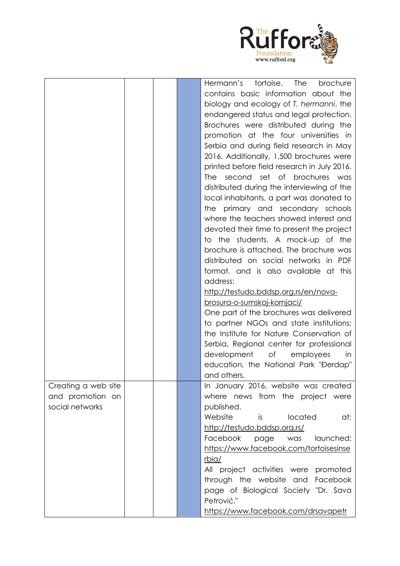

|                     | Hermann's<br>tortoise.<br>The<br>brochure   |
|---------------------|---------------------------------------------|
|                     | contains basic information about the        |
|                     | biology and ecology of T. hermanni, the     |
|                     | endangered status and legal protection.     |
|                     | Brochures were distributed during the       |
|                     |                                             |
|                     | promotion at the four universities in       |
|                     | Serbia and during field research in May     |
|                     | 2016. Additionally, 1,500 brochures were    |
|                     | printed before field research in July 2016. |
|                     | second set of brochures was<br>The          |
|                     | distributed during the interviewing of the  |
|                     | local inhabitants, a part was donated to    |
|                     | primary and secondary schools<br>the        |
|                     | where the teachers showed interest and      |
|                     | devoted their time to present the project   |
|                     | to the students. A mock-up of the           |
|                     | brochure is attached. The brochure was      |
|                     | distributed on social networks in PDF       |
|                     | format, and is also available at this       |
|                     | address:                                    |
|                     | http://testudo.bddsp.org.rs/en/nova-        |
|                     | brosura-o-sumskoj-kornjaci/                 |
|                     | One part of the brochures was delivered     |
|                     |                                             |
|                     | to partner NGOs and state institutions:     |
|                     | the Institute for Nature Conservation of    |
|                     | Serbia, Regional center for professional    |
|                     | development<br>of<br>employees<br>in        |
|                     | education, the National Park "Đerdap"       |
|                     | and others.                                 |
| Creating a web site | In January 2016, website was created        |
| and promotion on    | where news from the project were            |
| social networks     | published.                                  |
|                     | Website<br>located<br>is is<br>at:          |
|                     | http://testudo.bddsp.org.rs/                |
|                     | Facebook<br>launched:<br>page<br>was        |
|                     | https://www.facebook.com/tortoisesinse      |
|                     | rbia/                                       |
|                     | All project activities were promoted        |
|                     | through the website and Facebook            |
|                     | page of Biological Society "Dr. Sava        |
|                     |                                             |
|                     | Petrović."                                  |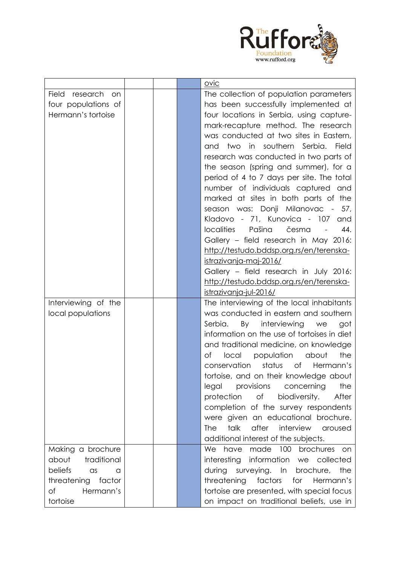

|                             |  | ovic                                                |
|-----------------------------|--|-----------------------------------------------------|
| <b>Field</b><br>research on |  | The collection of population parameters             |
| four populations of         |  | has been successfully implemented at                |
| Hermann's tortoise          |  | four locations in Serbia, using capture-            |
|                             |  | mark-recapture method. The research                 |
|                             |  | was conducted at two sites in Eastern,              |
|                             |  | two in southern Serbia.<br><b>Field</b><br>and      |
|                             |  | research was conducted in two parts of              |
|                             |  | the season (spring and summer), for a               |
|                             |  | period of 4 to 7 days per site. The total           |
|                             |  | number of individuals captured and                  |
|                             |  | marked at sites in both parts of the                |
|                             |  | season was: Donji Milanovac - 57,                   |
|                             |  | Kladovo - 71, Kunovica - 107 and                    |
|                             |  | Pašina<br>44.<br><b>localities</b><br>česma         |
|                             |  | Gallery - field research in May 2016:               |
|                             |  | http://testudo.bddsp.org.rs/en/terenska-            |
|                             |  | <u>istrazivanja-maj-2016/</u>                       |
|                             |  | Gallery - field research in July 2016:              |
|                             |  | http://testudo.bddsp.org.rs/en/terenska-            |
|                             |  | istrazivanja-jul-2016/                              |
| Interviewing of the         |  | The interviewing of the local inhabitants           |
| local populations           |  | was conducted in eastern and southern               |
|                             |  | Serbia.<br>By interviewing<br>we<br>got             |
|                             |  | information on the use of tortoises in diet         |
|                             |  | and traditional medicine, on knowledge              |
|                             |  | local<br>population<br>about<br>the<br>Оf           |
|                             |  | conservation<br>status<br>of<br>Hermann's           |
|                             |  | tortoise, and on their knowledge about              |
|                             |  | the<br>provisions<br>legal<br>concerning            |
|                             |  | of<br>After<br>protection<br>biodiversity.          |
|                             |  | completion of the survey respondents                |
|                             |  | were given an educational brochure.                 |
|                             |  | after<br>interview<br>talk<br><b>The</b><br>aroused |
|                             |  | additional interest of the subjects.                |
| Making a brochure           |  | We have made 100 brochures on                       |
| about<br>traditional        |  | interesting information we collected                |
| beliefs<br>$\alpha$ s<br>a  |  | during<br>surveying. In brochure,<br>the            |
| threatening factor          |  | factors for<br>threatening<br>Hermann's             |
| of<br>Hermann's             |  | tortoise are presented, with special focus          |
| tortoise                    |  | on impact on traditional beliefs, use in            |
|                             |  |                                                     |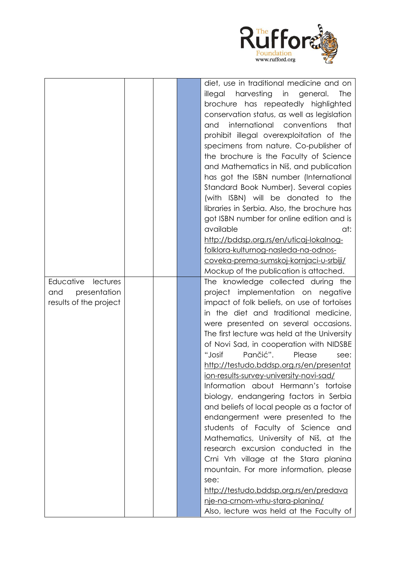

|                        |  | diet, use in traditional medicine and on              |
|------------------------|--|-------------------------------------------------------|
|                        |  | harvesting<br>illegal<br>in<br>general.<br><b>The</b> |
|                        |  | brochure has repeatedly highlighted                   |
|                        |  | conservation status, as well as legislation           |
|                        |  | international conventions<br>that<br>and              |
|                        |  | prohibit illegal overexploitation of the              |
|                        |  |                                                       |
|                        |  | specimens from nature. Co-publisher of                |
|                        |  | the brochure is the Faculty of Science                |
|                        |  | and Mathematics in Niš, and publication               |
|                        |  | has got the ISBN number (International                |
|                        |  | Standard Book Number). Several copies                 |
|                        |  | (with ISBN) will be donated to the                    |
|                        |  | libraries in Serbia. Also, the brochure has           |
|                        |  | got ISBN number for online edition and is             |
|                        |  | available<br>at:                                      |
|                        |  | http://bddsp.org.rs/en/uticaj-lokalnog-               |
|                        |  | folklora-kulturnog-nasleda-na-odnos-                  |
|                        |  | coveka-prema-sumskoj-kornjaci-u-srbiji/               |
|                        |  | Mockup of the publication is attached.                |
| Educative<br>lectures  |  | The knowledge collected during the                    |
| presentation<br>and    |  | project implementation on negative                    |
| results of the project |  | impact of folk beliefs, on use of tortoises           |
|                        |  | in the diet and traditional medicine,                 |
|                        |  | were presented on several occasions.                  |
|                        |  | The first lecture was held at the University          |
|                        |  | of Novi Sad, in cooperation with NIDSBE               |
|                        |  | Pančić".<br>"Josif<br>Please<br>see:                  |
|                        |  | http://testudo.bddsp.org.rs/en/presentat              |
|                        |  | ion-results-survey-university-novi-sad/               |
|                        |  | Information about Hermann's tortoise                  |
|                        |  | biology, endangering factors in Serbia                |
|                        |  | and beliefs of local people as a factor of            |
|                        |  | endangerment were presented to the                    |
|                        |  | students of Faculty of Science and                    |
|                        |  | Mathematics, University of Niš, at the                |
|                        |  | research excursion conducted in the                   |
|                        |  | Crni Vrh village at the Stara planina                 |
|                        |  | mountain. For more information, please                |
|                        |  | see:                                                  |
|                        |  | http://testudo.bddsp.org.rs/en/predava                |
|                        |  | nie-na-crnom-vrhu-stara-planina/                      |
|                        |  | Also, lecture was held at the Faculty of              |
|                        |  |                                                       |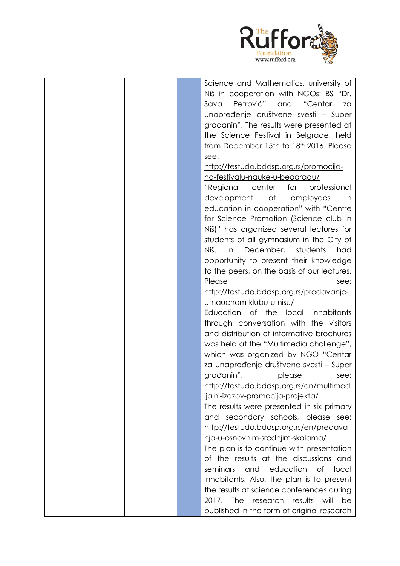

| Science and Mathematics, university of      |
|---------------------------------------------|
| Niš in cooperation with NGOs: BS "Dr.       |
| Petrović" and<br>"Centar<br>Sava<br>za      |
| unapređenje društvene svesti - Super        |
| gradanin". The results were presented at    |
| the Science Festival in Belgrade, held      |
| from December 15th to 18th 2016. Please     |
| see:                                        |
| http://testudo.bddsp.org.rs/promocija-      |
| na-festivalu-nauke-u-beogradu/              |
| "Regional center for<br>professional        |
| development<br>of<br>employees<br>in        |
| education in cooperation" with "Centre      |
| for Science Promotion (Science club in      |
| Niš)" has organized several lectures for    |
| students of all gymnasium in the City of    |
| December,<br>students<br>Niš.<br>In<br>had  |
| opportunity to present their knowledge      |
| to the peers, on the basis of our lectures. |
| Please<br>see:                              |
| http://testudo.bddsp.org.rs/predavanje-     |
| u-naucnom-klubu-u-nisu/                     |
| Education of the local inhabitants          |
| through conversation with the visitors      |
| and distribution of informative brochures   |
| was held at the "Multimedia challenge",     |
| which was organized by NGO "Centar          |
| za unapređenje društvene svesti – Super     |
| građanin",<br>please<br>see:                |
| http://testudo.bddsp.org.rs/en/multimed     |
| ijalni-izazov-promocija-projekta/           |
| The results were presented in six primary   |
| and secondary schools, please see:          |
| http://testudo.bddsp.org.rs/en/predava      |
| nja-u-osnovnim-srednjim-skolama/            |
| The plan is to continue with presentation   |
| of the results at the discussions and       |
| and education of local<br>seminars          |
| inhabitants. Also, the plan is to present   |
| the results at science conferences during   |
| 2017. The<br>research results<br>will<br>be |
| published in the form of original research  |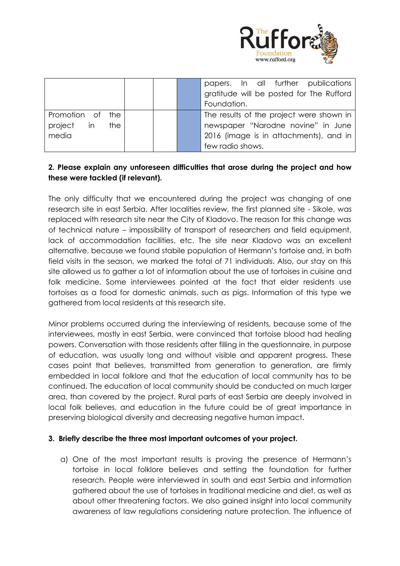

|                     | papers. In all further publications<br>gratitude will be posted for The Rufford<br>Foundation. |
|---------------------|------------------------------------------------------------------------------------------------|
| Promotion of<br>the | The results of the project were shown in                                                       |
| project in the      | newspaper "Narodne novine" in June                                                             |
| media               | 2016 (image is in attachments), and in                                                         |
|                     | few radio shows.                                                                               |

## **2. Please explain any unforeseen difficulties that arose during the project and how these were tackled (if relevant).**

The only difficulty that we encountered during the project was changing of one research site in east Serbia. After localities review, the first planned site - Sikole, was replaced with research site near the City of Kladovo. The reason for this change was of technical nature – impossibility of transport of researchers and field equipment, lack of accommodation facilities, etc. The site near Kladovo was an excellent alternative, because we found stabile population of Hermann's tortoise and, in both field visits in the season, we marked the total of 71 individuals. Also, our stay on this site allowed us to gather a lot of information about the use of tortoises in cuisine and folk medicine. Some interviewees pointed at the fact that elder residents use tortoises as a food for domestic animals, such as pigs. Information of this type we gathered from local residents at this research site.

Minor problems occurred during the interviewing of residents, because some of the interviewees, mostly in east Serbia, were convinced that tortoise blood had healing powers. Conversation with those residents after filling in the questionnaire, in purpose of education, was usually long and without visible and apparent progress. These cases point that believes, transmitted from generation to generation, are firmly embedded in local folklore and that the education of local community has to be continued. The education of local community should be conducted on much larger area, than covered by the project. Rural parts of east Serbia are deeply involved in local folk believes, and education in the future could be of great importance in preserving biological diversity and decreasing negative human impact.

#### **3. Briefly describe the three most important outcomes of your project.**

a) One of the most important results is proving the presence of Hermann's tortoise in local folklore believes and setting the foundation for further research. People were interviewed in south and east Serbia and information gathered about the use of tortoises in traditional medicine and diet, as well as about other threatening factors. We also gained insight into local community awareness of law regulations considering nature protection. The influence of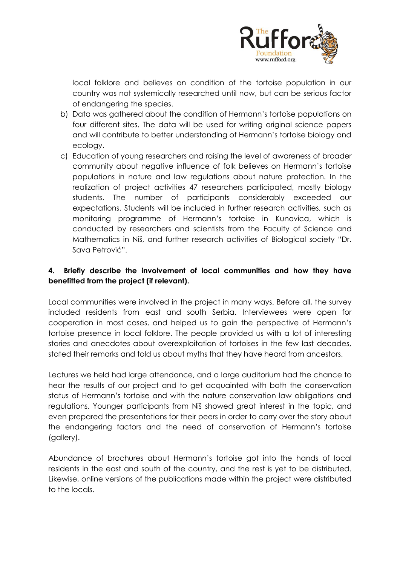

local folklore and believes on condition of the tortoise population in our country was not systemically researched until now, but can be serious factor of endangering the species.

- b) Data was gathered about the condition of Hermann's tortoise populations on four different sites. The data will be used for writing original science papers and will contribute to better understanding of Hermann's tortoise biology and ecology.
- c) Education of young researchers and raising the level of awareness of broader community about negative influence of folk believes on Hermann's tortoise populations in nature and law regulations about nature protection. In the realization of project activities 47 researchers participated, mostly biology students. The number of participants considerably exceeded our expectations. Students will be included in further research activities, such as monitoring programme of Hermann's tortoise in Kunovica, which is conducted by researchers and scientists from the Faculty of Science and Mathematics in Niš, and further research activities of Biological society "Dr. Sava Petrović".

# **4. Briefly describe the involvement of local communities and how they have benefitted from the project (if relevant).**

Local communities were involved in the project in many ways. Before all, the survey included residents from east and south Serbia. Interviewees were open for cooperation in most cases, and helped us to gain the perspective of Hermann's tortoise presence in local folklore. The people provided us with a lot of interesting stories and anecdotes about overexploitation of tortoises in the few last decades, stated their remarks and told us about myths that they have heard from ancestors.

Lectures we held had large attendance, and a large auditorium had the chance to hear the results of our project and to get acquainted with both the conservation status of Hermann's tortoise and with the nature conservation law obligations and regulations. Younger participants from Niš showed great interest in the topic, and even prepared the presentations for their peers in order to carry over the story about the endangering factors and the need of conservation of Hermann's tortoise (gallery).

Abundance of brochures about Hermann's tortoise got into the hands of local residents in the east and south of the country, and the rest is yet to be distributed. Likewise, online versions of the publications made within the project were distributed to the locals.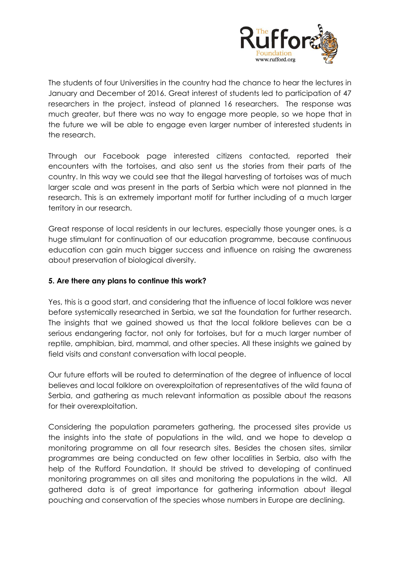

The students of four Universities in the country had the chance to hear the lectures in January and December of 2016. Great interest of students led to participation of 47 researchers in the project, instead of planned 16 researchers. The response was much greater, but there was no way to engage more people, so we hope that in the future we will be able to engage even larger number of interested students in the research.

Through our Facebook page interested citizens contacted, reported their encounters with the tortoises, and also sent us the stories from their parts of the country. In this way we could see that the illegal harvesting of tortoises was of much larger scale and was present in the parts of Serbia which were not planned in the research. This is an extremely important motif for further including of a much larger territory in our research.

Great response of local residents in our lectures, especially those younger ones, is a huge stimulant for continuation of our education programme, because continuous education can gain much bigger success and influence on raising the awareness about preservation of biological diversity.

#### **5. Are there any plans to continue this work?**

Yes, this is a good start, and considering that the influence of local folklore was never before systemically researched in Serbia, we sat the foundation for further research. The insights that we gained showed us that the local folklore believes can be a serious endangering factor, not only for tortoises, but for a much larger number of reptile, amphibian, bird, mammal, and other species. All these insights we gained by field visits and constant conversation with local people.

Our future efforts will be routed to determination of the degree of influence of local believes and local folklore on overexploitation of representatives of the wild fauna of Serbia, and gathering as much relevant information as possible about the reasons for their overexploitation.

Considering the population parameters gathering, the processed sites provide us the insights into the state of populations in the wild, and we hope to develop a monitoring programme on all four research sites. Besides the chosen sites, similar programmes are being conducted on few other localities in Serbia, also with the help of the Rufford Foundation. It should be strived to developing of continued monitoring programmes on all sites and monitoring the populations in the wild. All gathered data is of great importance for gathering information about illegal pouching and conservation of the species whose numbers in Europe are declining.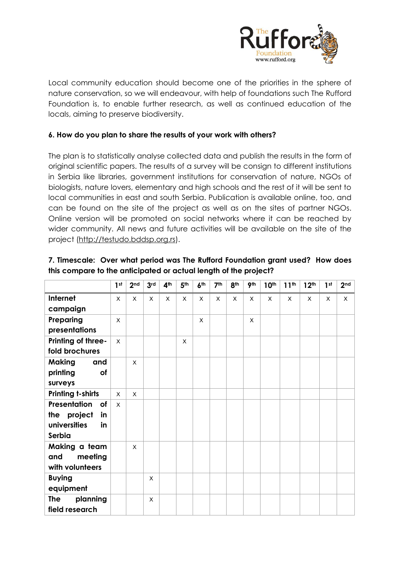

Local community education should become one of the priorities in the sphere of nature conservation, so we will endeavour, with help of foundations such The Rufford Foundation is, to enable further research, as well as continued education of the locals, aiming to preserve biodiversity.

### **6. How do you plan to share the results of your work with others?**

The plan is to statistically analyse collected data and publish the results in the form of original scientific papers. The results of a survey will be consign to different institutions in Serbia like libraries, government institutions for conservation of nature, NGOs of biologists, nature lovers, elementary and high schools and the rest of it will be sent to local communities in east and south Serbia. Publication is available online, too, and can be found on the site of the project as well as on the sites of partner NGOs. Online version will be promoted on social networks where it can be reached by wider community. All news and future activities will be available on the site of the project [\(http://testudo.bddsp.org.rs\)](http://testudo.bddsp.org.rs/).

|                          | 1 <sup>st</sup> | 2 <sub>nd</sub> | 3 <sub>rd</sub> | 4 <sup>th</sup> | 5 <sup>th</sup> | 6 <sup>th</sup> | 7 <sup>th</sup> | 8 <sup>th</sup> | 9 <sup>th</sup> | 10 <sup>th</sup> | 11 <sup>th</sup> | 12 <sup>th</sup> | 1 <sup>st</sup> | 2 <sub>nd</sub> |
|--------------------------|-----------------|-----------------|-----------------|-----------------|-----------------|-----------------|-----------------|-----------------|-----------------|------------------|------------------|------------------|-----------------|-----------------|
| Internet                 | X               | $\times$        | $\times$        | $\times$        | $\times$        | X               | X               | X               | X               | X                | X                | $\times$         | X               | X               |
| campaign                 |                 |                 |                 |                 |                 |                 |                 |                 |                 |                  |                  |                  |                 |                 |
| Preparing                | X               |                 |                 |                 |                 | X               |                 |                 | X               |                  |                  |                  |                 |                 |
| presentations            |                 |                 |                 |                 |                 |                 |                 |                 |                 |                  |                  |                  |                 |                 |
| Printing of three-       | $\mathsf{X}$    |                 |                 |                 | X               |                 |                 |                 |                 |                  |                  |                  |                 |                 |
| fold brochures           |                 |                 |                 |                 |                 |                 |                 |                 |                 |                  |                  |                  |                 |                 |
| <b>Making</b><br>and     |                 | $\mathsf{x}$    |                 |                 |                 |                 |                 |                 |                 |                  |                  |                  |                 |                 |
| printing<br>of           |                 |                 |                 |                 |                 |                 |                 |                 |                 |                  |                  |                  |                 |                 |
| surveys                  |                 |                 |                 |                 |                 |                 |                 |                 |                 |                  |                  |                  |                 |                 |
| <b>Printing t-shirts</b> | X               | X               |                 |                 |                 |                 |                 |                 |                 |                  |                  |                  |                 |                 |
| Presentation<br>of       | X               |                 |                 |                 |                 |                 |                 |                 |                 |                  |                  |                  |                 |                 |
| the project<br>in        |                 |                 |                 |                 |                 |                 |                 |                 |                 |                  |                  |                  |                 |                 |
| universities<br>in       |                 |                 |                 |                 |                 |                 |                 |                 |                 |                  |                  |                  |                 |                 |
| Serbia                   |                 |                 |                 |                 |                 |                 |                 |                 |                 |                  |                  |                  |                 |                 |
| Making a team            |                 | $\mathsf{x}$    |                 |                 |                 |                 |                 |                 |                 |                  |                  |                  |                 |                 |
| and<br>meeting           |                 |                 |                 |                 |                 |                 |                 |                 |                 |                  |                  |                  |                 |                 |
| with volunteers          |                 |                 |                 |                 |                 |                 |                 |                 |                 |                  |                  |                  |                 |                 |
| <b>Buying</b>            |                 |                 | X               |                 |                 |                 |                 |                 |                 |                  |                  |                  |                 |                 |
| equipment                |                 |                 |                 |                 |                 |                 |                 |                 |                 |                  |                  |                  |                 |                 |
| planning<br>The          |                 |                 | X               |                 |                 |                 |                 |                 |                 |                  |                  |                  |                 |                 |
| field research           |                 |                 |                 |                 |                 |                 |                 |                 |                 |                  |                  |                  |                 |                 |

#### **7. Timescale: Over what period was The Rufford Foundation grant used? How does this compare to the anticipated or actual length of the project?**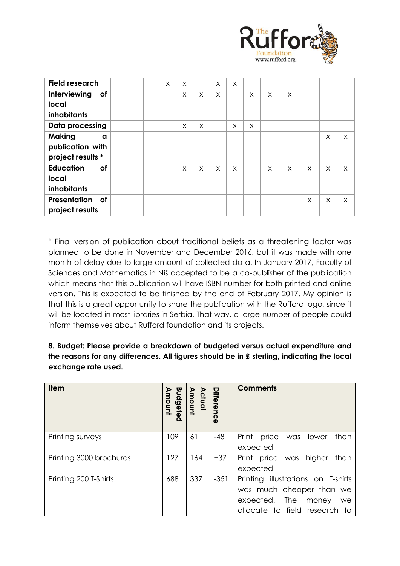

| <b>Field research</b>  |  | X | X |   | X | X        |   |   |   |              |   |   |
|------------------------|--|---|---|---|---|----------|---|---|---|--------------|---|---|
| Interviewing<br>of     |  |   | X | X | X |          | X | X | X |              |   |   |
| local                  |  |   |   |   |   |          |   |   |   |              |   |   |
| <b>inhabitants</b>     |  |   |   |   |   |          |   |   |   |              |   |   |
| <b>Data processing</b> |  |   | X | X |   | X        | X |   |   |              |   |   |
| <b>Making</b><br>a     |  |   |   |   |   |          |   |   |   |              | X | X |
| publication with       |  |   |   |   |   |          |   |   |   |              |   |   |
| project results *      |  |   |   |   |   |          |   |   |   |              |   |   |
| <b>Education</b><br>of |  |   | X | X | X | $\times$ |   | X | X | $\mathsf{x}$ | X | X |
| local                  |  |   |   |   |   |          |   |   |   |              |   |   |
| <b>inhabitants</b>     |  |   |   |   |   |          |   |   |   |              |   |   |
| Presentation<br>of     |  |   |   |   |   |          |   |   |   | X            | X | X |
| project results        |  |   |   |   |   |          |   |   |   |              |   |   |

\* Final version of publication about traditional beliefs as a threatening factor was planned to be done in November and December 2016, but it was made with one month of delay due to large amount of collected data. In January 2017, Faculty of Sciences and Mathematics in Niš accepted to be a co-publisher of the publication which means that this publication will have ISBN number for both printed and online version. This is expected to be finished by the end of February 2017. My opinion is that this is a great opportunity to share the publication with the Rufford logo, since it will be located in most libraries in Serbia. That way, a large number of people could inform themselves about Rufford foundation and its projects.

**8. Budget: Please provide a breakdown of budgeted versus actual expenditure and the reasons for any differences. All figures should be in £ sterling, indicating the local exchange rate used.** 

| <b>Item</b>             | Budgeted<br>Budgeted<br>Amount | Actual<br>Amount | Differenc<br>$\boldsymbol{\sigma}$ | <b>Comments</b>                                                                                                              |
|-------------------------|--------------------------------|------------------|------------------------------------|------------------------------------------------------------------------------------------------------------------------------|
| Printing surveys        | 109                            | 61               | $-48$                              | Print price was<br>lower<br>than<br>expected                                                                                 |
| Printing 3000 brochures | 127                            | 164              | $+37$                              | Print price was higher<br>than<br>expected                                                                                   |
| Printing 200 T-Shirts   | 688                            | 337              | $-351$                             | Printing illustrations on T-shirts<br>was much cheaper than we<br>expected. The money<br>we<br>allocate to field research to |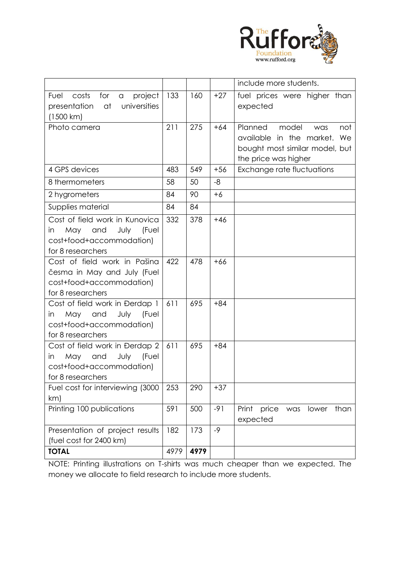

|                                                                                                                      |      |      |       | include more students.                                                                                                     |
|----------------------------------------------------------------------------------------------------------------------|------|------|-------|----------------------------------------------------------------------------------------------------------------------------|
| project<br>Fuel<br>costs<br>for<br>$\alpha$<br>presentation<br>universities<br>at<br>(1500 km)                       | 133  | 160  | $+27$ | fuel prices were higher than<br>expected                                                                                   |
| Photo camera                                                                                                         | 211  | 275  | $+64$ | Planned<br>model<br>not<br>was<br>available in the market.<br>We<br>bought most similar model, but<br>the price was higher |
| 4 GPS devices                                                                                                        | 483  | 549  | $+56$ | Exchange rate fluctuations                                                                                                 |
| 8 thermometers                                                                                                       | 58   | 50   | -8    |                                                                                                                            |
| 2 hygrometers                                                                                                        | 84   | 90   | $+6$  |                                                                                                                            |
| Supplies material                                                                                                    | 84   | 84   |       |                                                                                                                            |
| Cost of field work in Kunovica<br>May and<br>July<br>(Fuel<br>in<br>cost+food+accommodation)<br>for 8 researchers    | 332  | 378  | $+46$ |                                                                                                                            |
| Cost of field work in Pašina<br>česma in May and July (Fuel<br>cost+food+accommodation)<br>for 8 researchers         | 422  | 478  | $+66$ |                                                                                                                            |
| Cost of field work in Đerdap 1<br>May<br>and<br>July<br>(Fuel<br>in<br>cost+food+accommodation)<br>for 8 researchers | 611  | 695  | $+84$ |                                                                                                                            |
| Cost of field work in Đerdap 2<br>July (Fuel<br>May and<br>in<br>cost+food+accommodation)<br>for 8 researchers       | 611  | 695  | $+84$ |                                                                                                                            |
| Fuel cost for interviewing (3000<br>km)                                                                              | 253  | 290  | $+37$ |                                                                                                                            |
| Printing 100 publications                                                                                            | 591  | 500  | $-91$ | Print<br>price<br>than<br>was<br>lower<br>expected                                                                         |
| Presentation of project results<br>(fuel cost for 2400 km)                                                           | 182  | 173  | $-9$  |                                                                                                                            |
| <b>TOTAL</b>                                                                                                         | 4979 | 4979 |       |                                                                                                                            |

NOTE: Printing illustrations on T-shirts was much cheaper than we expected. The money we allocate to field research to include more students.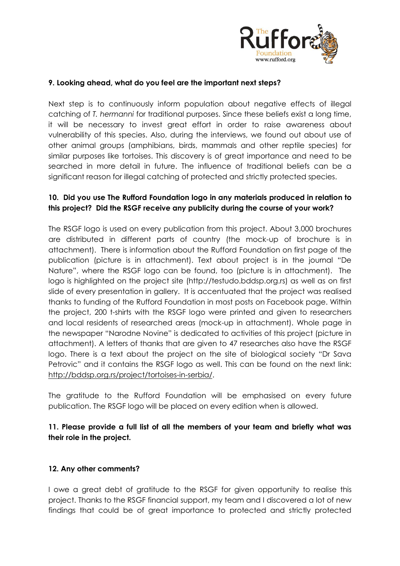

#### **9. Looking ahead, what do you feel are the important next steps?**

Next step is to continuously inform population about negative effects of illegal catching of *T. hermanni* for traditional purposes. Since these beliefs exist a long time, it will be necessary to invest great effort in order to raise awareness about vulnerability of this species. Also, during the interviews, we found out about use of other animal groups (amphibians, birds, mammals and other reptile species) for similar purposes like tortoises. This discovery is of great importance and need to be searched in more detail in future. The influence of traditional beliefs can be a significant reason for illegal catching of protected and strictly protected species.

### **10. Did you use The Rufford Foundation logo in any materials produced in relation to this project? Did the RSGF receive any publicity during the course of your work?**

The RSGF logo is used on every publication from this project. About 3,000 brochures are distributed in different parts of country (the mock-up of brochure is in attachment). There is information about the Rufford Foundation on first page of the publication (picture is in attachment). Text about project is in the journal "De Nature", where the RSGF logo can be found, too (picture is in attachment). The logo is highlighted on the project site (http://testudo.bddsp.org.rs) as well as on first slide of every presentation in gallery. It is accentuated that the project was realised thanks to funding of the Rufford Foundation in most posts on Facebook page. Within the project, 200 t-shirts with the RSGF logo were printed and given to researchers and local residents of researched areas (mock-up in attachment). Whole page in the newspaper "Narodne Novine" is dedicated to activities of this project (picture in attachment). A letters of thanks that are given to 47 researches also have the RSGF logo. There is a text about the project on the site of biological society "Dr Sava Petrovic" and it contains the RSGF logo as well. This can be found on the next link: [http://bddsp.org.rs/project/tortoises-in-serbia/.](http://bddsp.org.rs/project/tortoises-in-serbia/)

The gratitude to the Rufford Foundation will be emphasised on every future publication. The RSGF logo will be placed on every edition when is allowed.

### **11. Please provide a full list of all the members of your team and briefly what was their role in the project.**

#### **12. Any other comments?**

I owe a great debt of gratitude to the RSGF for given opportunity to realise this project. Thanks to the RSGF financial support, my team and I discovered a lot of new findings that could be of great importance to protected and strictly protected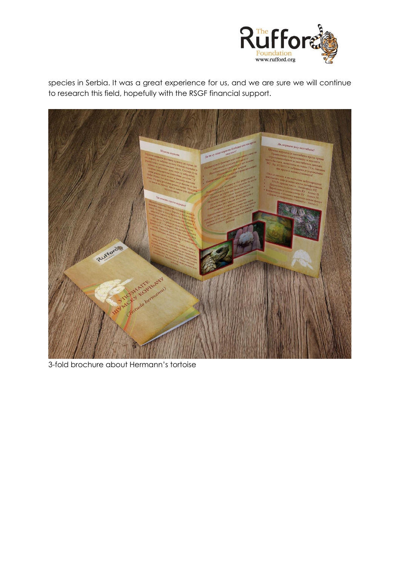

species in Serbia. It was a great experience for us, and we are sure we will continue to research this field, hopefully with the RSGF financial support.



3-fold brochure about Hermann's tortoise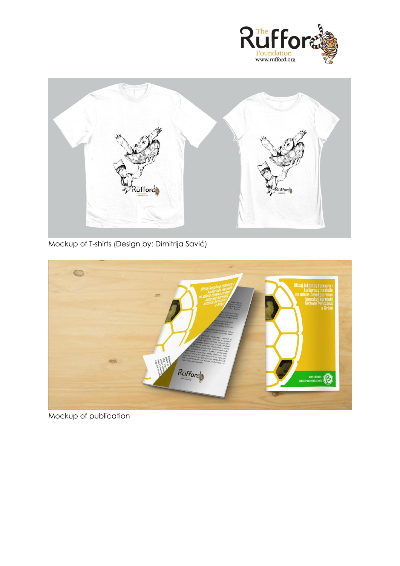



Mockup of T-shirts (Design by: Dimitrija Savić)



Mockup of publication